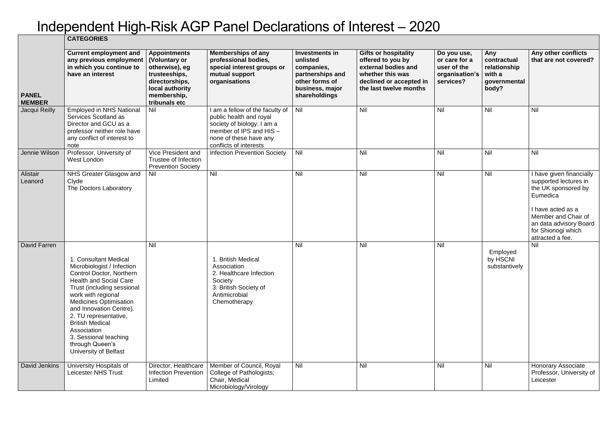## Independent High-Risk AGP Panel Declarations of Interest – 2020

|                               | <b>CATEGORIES</b>                                                                                                                                                                                                                                                                                                                                                      |                                                                                                                                              |                                                                                                                                                                         |                                                                                                                           |                                                                                                                                                  |                                                                            |                                                                       |                                                                                                                                                                                                      |
|-------------------------------|------------------------------------------------------------------------------------------------------------------------------------------------------------------------------------------------------------------------------------------------------------------------------------------------------------------------------------------------------------------------|----------------------------------------------------------------------------------------------------------------------------------------------|-------------------------------------------------------------------------------------------------------------------------------------------------------------------------|---------------------------------------------------------------------------------------------------------------------------|--------------------------------------------------------------------------------------------------------------------------------------------------|----------------------------------------------------------------------------|-----------------------------------------------------------------------|------------------------------------------------------------------------------------------------------------------------------------------------------------------------------------------------------|
| <b>PANEL</b><br><b>MEMBER</b> | <b>Current employment and</b><br>any previous employment<br>in which you continue to<br>have an interest                                                                                                                                                                                                                                                               | <b>Appointments</b><br>(Voluntary or<br>otherwise), eg<br>trusteeships,<br>directorships,<br>local authority<br>membership,<br>tribunals etc | <b>Memberships of any</b><br>professional bodies,<br>special interest groups or<br>mutual support<br>organisations                                                      | <b>Investments in</b><br>unlisted<br>companies,<br>partnerships and<br>other forms of<br>business, major<br>shareholdings | <b>Gifts or hospitality</b><br>offered to you by<br>external bodies and<br>whether this was<br>declined or accepted in<br>the last twelve months | Do you use,<br>or care for a<br>user of the<br>organisation's<br>services? | Any<br>contractual<br>relationship<br>with a<br>governmental<br>body? | Any other conflicts<br>that are not covered?                                                                                                                                                         |
| Jacqui Reilly                 | <b>Employed in NHS National</b><br>Services Scotland as<br>Director and GCU as a<br>professor neither role have<br>any conflict of interest to<br>note                                                                                                                                                                                                                 | Nil                                                                                                                                          | I am a fellow of the faculty of<br>public health and royal<br>society of biology. I am a<br>member of IPS and HIS -<br>none of these have any<br>conflicts of interests | Nil                                                                                                                       | Nil                                                                                                                                              | Nil                                                                        | Nil                                                                   | Nil                                                                                                                                                                                                  |
| Jennie Wilson                 | Professor, University of<br><b>West London</b>                                                                                                                                                                                                                                                                                                                         | Vice President and<br>Trustee of Infection<br><b>Prevention Society</b>                                                                      | <b>Infection Prevention Society</b>                                                                                                                                     | Nil                                                                                                                       | Nil                                                                                                                                              | Nil                                                                        | Nil                                                                   | Nil                                                                                                                                                                                                  |
| <b>Alistair</b><br>Leanord    | NHS Greater Glasgow and<br>Clyde<br>The Doctors Laboratory                                                                                                                                                                                                                                                                                                             | Nil                                                                                                                                          | Nil                                                                                                                                                                     | Nil                                                                                                                       | Nil                                                                                                                                              | Nil                                                                        | Nil                                                                   | I have given financially<br>supported lectures in<br>the UK sponsored by<br>Eumedica<br>I have acted as a<br>Member and Chair of<br>an data advisory Board<br>for Shionogi which<br>attracted a fee. |
| David Farren                  | . Consultant Medical<br>Microbiologist / Infection<br>Control Doctor, Northern<br><b>Health and Social Care</b><br>Trust (including sessional<br>work with regional<br><b>Medicines Optimisation</b><br>and Innovation Centre).<br>2. TU representative,<br><b>British Medical</b><br>Association<br>3. Sessional teaching<br>through Queen's<br>University of Belfast | Nil                                                                                                                                          | . British Medical<br>Association<br>2. Healthcare Infection<br>Society<br>3. British Society of<br>Antimicrobial<br>Chemotherapy                                        | Nil                                                                                                                       | Nil                                                                                                                                              | Nil                                                                        | Employed<br>by HSCNI<br>substantively                                 | Nil                                                                                                                                                                                                  |
| David Jenkins                 | University Hospitals of<br><b>Leicester NHS Trust</b>                                                                                                                                                                                                                                                                                                                  | Director, Healthcare<br><b>Infection Prevention</b><br>Limited                                                                               | Member of Council, Royal<br>College of Pathologists;<br>Chair, Medical<br>Microbiology/Virology                                                                         | Nil                                                                                                                       | Nil                                                                                                                                              | Nil                                                                        | Nil                                                                   | <b>Honorary Associate</b><br>Professor, University of<br>Leicester                                                                                                                                   |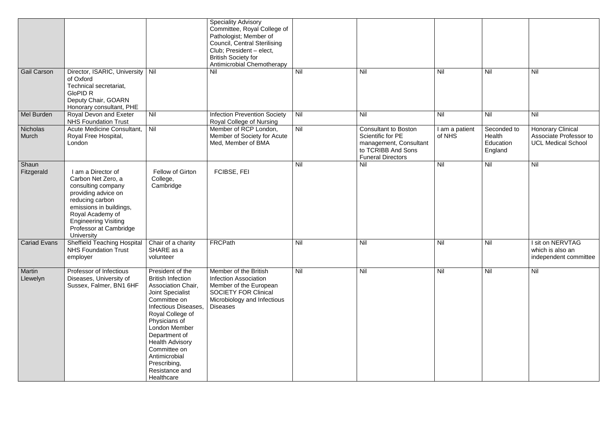|                     |                                                                                                                                                                                                                                |                                                                                                                                                                                                                                                                                                                         | <b>Speciality Advisory</b><br>Committee, Royal College of<br>Pathologist; Member of<br><b>Council, Central Sterilising</b><br>Club; President - elect,<br><b>British Society for</b><br>Antimicrobial Chemotherapy |            |                                                                                                                              |                          |                                               |                                                                                 |
|---------------------|--------------------------------------------------------------------------------------------------------------------------------------------------------------------------------------------------------------------------------|-------------------------------------------------------------------------------------------------------------------------------------------------------------------------------------------------------------------------------------------------------------------------------------------------------------------------|--------------------------------------------------------------------------------------------------------------------------------------------------------------------------------------------------------------------|------------|------------------------------------------------------------------------------------------------------------------------------|--------------------------|-----------------------------------------------|---------------------------------------------------------------------------------|
| <b>Gail Carson</b>  | Director, ISARIC, University   Nil<br>of Oxford<br>Technical secretariat,<br><b>GloPID R</b><br>Deputy Chair, GOARN<br>Honorary consultant, PHE                                                                                |                                                                                                                                                                                                                                                                                                                         | Nil                                                                                                                                                                                                                | Nil        | Nil                                                                                                                          | Nil                      | Nil                                           | Nil                                                                             |
| Mel Burden          | Royal Devon and Exeter<br><b>NHS Foundation Trust</b>                                                                                                                                                                          | Nil                                                                                                                                                                                                                                                                                                                     | <b>Infection Prevention Society</b><br>Royal College of Nursing                                                                                                                                                    | <b>Nil</b> | Nil                                                                                                                          | Nil                      | Nil                                           | Nil                                                                             |
| Nicholas<br>Murch   | Acute Medicine Consultant,<br>Royal Free Hospital,<br>London                                                                                                                                                                   | Nil                                                                                                                                                                                                                                                                                                                     | Member of RCP London,<br>Member of Society for Acute<br>Med, Member of BMA                                                                                                                                         | <b>Nil</b> | <b>Consultant to Boston</b><br>Scientific for PE<br>management, Consultant<br>to TCRIBB And Sons<br><b>Funeral Directors</b> | l am a patient<br>of NHS | Seconded to<br>Health<br>Education<br>England | <b>Honorary Clinical</b><br>Associate Professor to<br><b>UCL Medical School</b> |
| Shaun<br>Fitzgerald | I am a Director of<br>Carbon Net Zero, a<br>consulting company<br>providing advice on<br>reducing carbon<br>emissions in buildings,<br>Royal Academy of<br><b>Engineering Visiting</b><br>Professor at Cambridge<br>University | Fellow of Girton<br>College,<br>Cambridge                                                                                                                                                                                                                                                                               | FCIBSE, FEI                                                                                                                                                                                                        | Nil        | Nil                                                                                                                          | Nil                      | Nil                                           | Nil                                                                             |
| <b>Cariad Evans</b> | <b>Sheffield Teaching Hospital</b><br><b>NHS Foundation Trust</b><br>employer                                                                                                                                                  | Chair of a charity<br>SHARE as a<br>volunteer                                                                                                                                                                                                                                                                           | <b>FRCPath</b>                                                                                                                                                                                                     | Nil        | Nil                                                                                                                          | Nil                      | Nil                                           | I sit on NERVTAG<br>which is also an<br>independent committee                   |
| Martin<br>Llewelyn  | Professor of Infectious<br>Diseases, University of<br>Sussex, Falmer, BN1 6HF                                                                                                                                                  | President of the<br><b>British Infection</b><br>Association Chair,<br><b>Joint Specialist</b><br>Committee on<br>Infectious Diseases,<br>Royal College of<br>Physicians of<br>London Member<br>Department of<br><b>Health Advisory</b><br>Committee on<br>Antimicrobial<br>Prescribing,<br>Resistance and<br>Healthcare | Member of the British<br><b>Infection Association</b><br>Member of the European<br><b>SOCIETY FOR Clinical</b><br>Microbiology and Infectious<br><b>Diseases</b>                                                   | <b>Nil</b> | Nil                                                                                                                          | Nil                      | Nil                                           | Nil                                                                             |